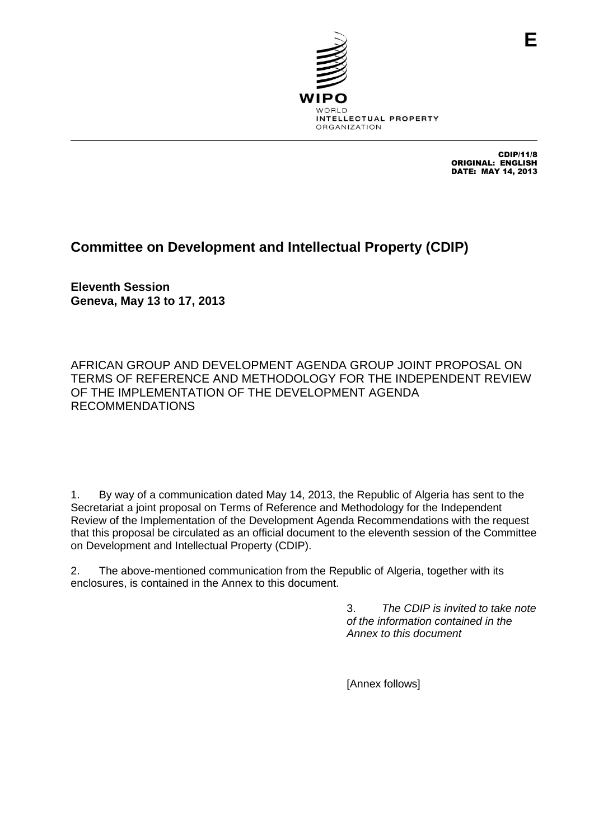

CDIP/11/8 ORIGINAL: ENGLISH DATE: MAY 14, 2013

## **Committee on Development and Intellectual Property (CDIP)**

**Eleventh Session Geneva, May 13 to 17, 2013**

AFRICAN GROUP AND DEVELOPMENT AGENDA GROUP JOINT PROPOSAL ON TERMS OF REFERENCE AND METHODOLOGY FOR THE INDEPENDENT REVIEW OF THE IMPLEMENTATION OF THE DEVELOPMENT AGENDA RECOMMENDATIONS

1. By way of a communication dated May 14, 2013, the Republic of Algeria has sent to the Secretariat a joint proposal on Terms of Reference and Methodology for the Independent Review of the Implementation of the Development Agenda Recommendations with the request that this proposal be circulated as an official document to the eleventh session of the Committee on Development and Intellectual Property (CDIP).

2. The above-mentioned communication from the Republic of Algeria, together with its enclosures, is contained in the Annex to this document.

> 3. *The CDIP is invited to take note of the information contained in the Annex to this document*

[Annex follows]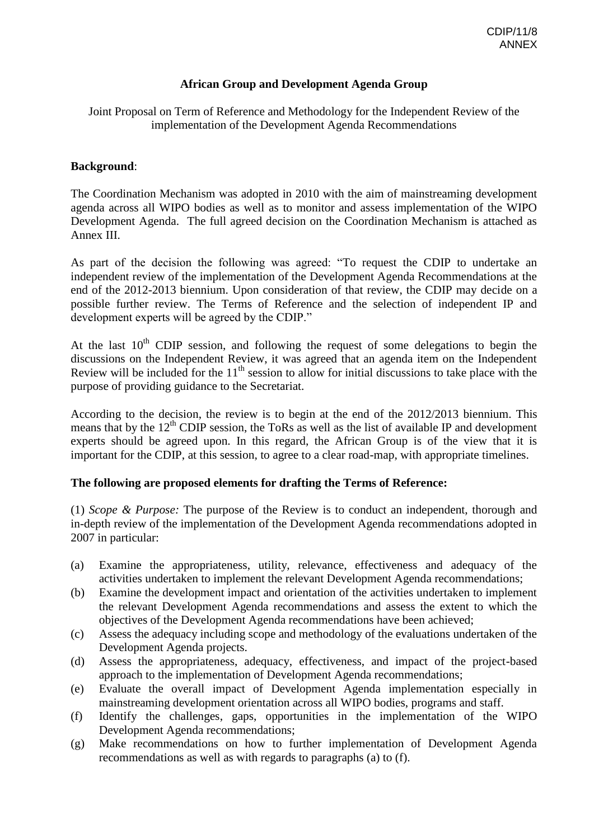## **African Group and Development Agenda Group**

Joint Proposal on Term of Reference and Methodology for the Independent Review of the implementation of the Development Agenda Recommendations

## **Background**:

The Coordination Mechanism was adopted in 2010 with the aim of mainstreaming development agenda across all WIPO bodies as well as to monitor and assess implementation of the WIPO Development Agenda. The full agreed decision on the Coordination Mechanism is attached as Annex III.

As part of the decision the following was agreed: "To request the CDIP to undertake an independent review of the implementation of the Development Agenda Recommendations at the end of the 2012-2013 biennium. Upon consideration of that review, the CDIP may decide on a possible further review. The Terms of Reference and the selection of independent IP and development experts will be agreed by the CDIP."

At the last  $10<sup>th</sup>$  CDIP session, and following the request of some delegations to begin the discussions on the Independent Review, it was agreed that an agenda item on the Independent Review will be included for the  $11<sup>th</sup>$  session to allow for initial discussions to take place with the purpose of providing guidance to the Secretariat.

According to the decision, the review is to begin at the end of the 2012/2013 biennium. This means that by the  $12<sup>th</sup>$  CDIP session, the ToRs as well as the list of available IP and development experts should be agreed upon. In this regard, the African Group is of the view that it is important for the CDIP, at this session, to agree to a clear road-map, with appropriate timelines.

## **The following are proposed elements for drafting the Terms of Reference:**

(1) *Scope & Purpose:* The purpose of the Review is to conduct an independent, thorough and in-depth review of the implementation of the Development Agenda recommendations adopted in 2007 in particular:

- (a) Examine the appropriateness, utility, relevance, effectiveness and adequacy of the activities undertaken to implement the relevant Development Agenda recommendations;
- (b) Examine the development impact and orientation of the activities undertaken to implement the relevant Development Agenda recommendations and assess the extent to which the objectives of the Development Agenda recommendations have been achieved;
- (c) Assess the adequacy including scope and methodology of the evaluations undertaken of the Development Agenda projects.
- (d) Assess the appropriateness, adequacy, effectiveness, and impact of the project-based approach to the implementation of Development Agenda recommendations;
- (e) Evaluate the overall impact of Development Agenda implementation especially in mainstreaming development orientation across all WIPO bodies, programs and staff.
- (f) Identify the challenges, gaps, opportunities in the implementation of the WIPO Development Agenda recommendations;
- (g) Make recommendations on how to further implementation of Development Agenda recommendations as well as with regards to paragraphs (a) to (f).